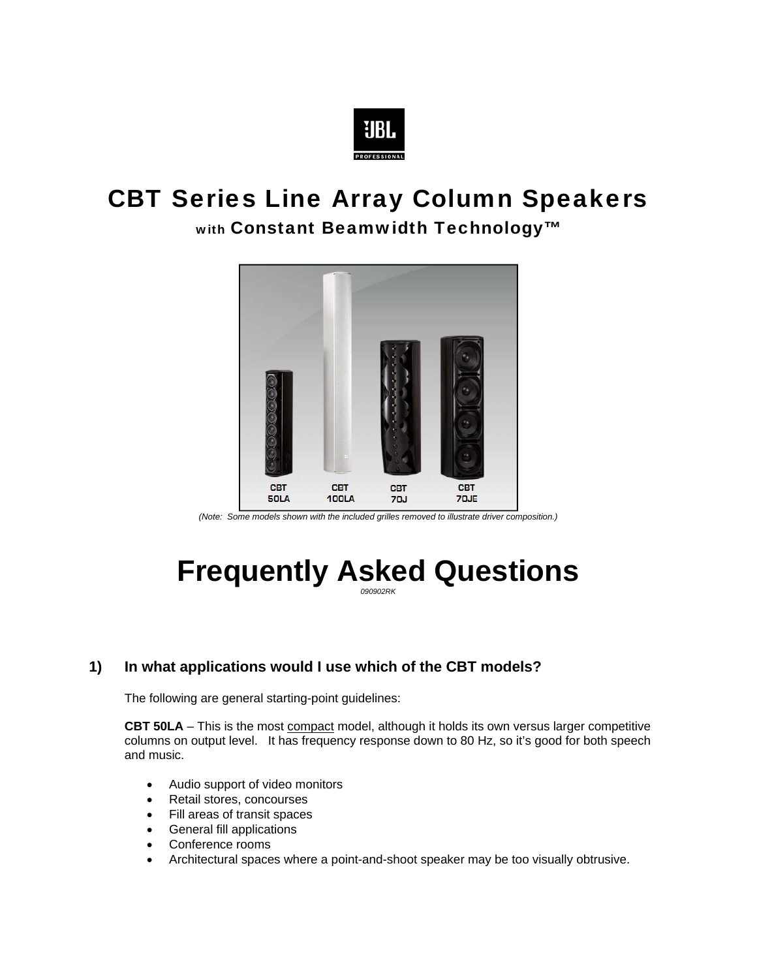

# CBT Series Line Array Column Speakers

### with Constant Beamwidth Technology™



*(Note: Some models shown with the included grilles removed to illustrate driver composition.)* 

# **Frequently Asked Questions** *090902RK*

#### **1) In what applications would I use which of the CBT models?**

The following are general starting-point guidelines:

**CBT 50LA** – This is the most compact model, although it holds its own versus larger competitive columns on output level. It has frequency response down to 80 Hz, so it's good for both speech and music.

- Audio support of video monitors
- Retail stores, concourses
- Fill areas of transit spaces
- General fill applications
- Conference rooms
- Architectural spaces where a point-and-shoot speaker may be too visually obtrusive.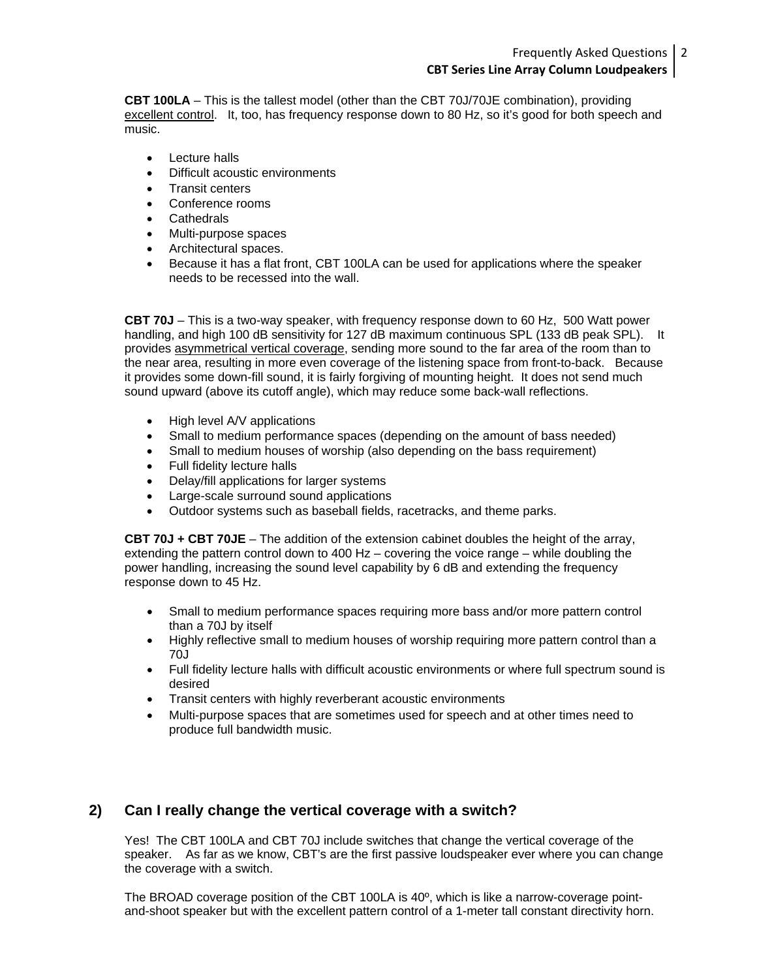**CBT 100LA** – This is the tallest model (other than the CBT 70J/70JE combination), providing excellent control. It, too, has frequency response down to 80 Hz, so it's good for both speech and music.

- Lecture halls
- Difficult acoustic environments
- Transit centers
- Conference rooms
- **Cathedrals**
- Multi-purpose spaces
- Architectural spaces.
- Because it has a flat front, CBT 100LA can be used for applications where the speaker needs to be recessed into the wall.

**CBT 70J** – This is a two-way speaker, with frequency response down to 60 Hz, 500 Watt power handling, and high 100 dB sensitivity for 127 dB maximum continuous SPL (133 dB peak SPL). It provides asymmetrical vertical coverage, sending more sound to the far area of the room than to the near area, resulting in more even coverage of the listening space from front-to-back. Because it provides some down-fill sound, it is fairly forgiving of mounting height. It does not send much sound upward (above its cutoff angle), which may reduce some back-wall reflections.

- High level A/V applications
- Small to medium performance spaces (depending on the amount of bass needed)
- Small to medium houses of worship (also depending on the bass requirement)
- Full fidelity lecture halls
- Delay/fill applications for larger systems
- Large-scale surround sound applications
- Outdoor systems such as baseball fields, racetracks, and theme parks.

**CBT 70J + CBT 70JE** – The addition of the extension cabinet doubles the height of the array, extending the pattern control down to 400 Hz – covering the voice range – while doubling the power handling, increasing the sound level capability by 6 dB and extending the frequency response down to 45 Hz.

- Small to medium performance spaces requiring more bass and/or more pattern control than a 70J by itself
- Highly reflective small to medium houses of worship requiring more pattern control than a 70J
- Full fidelity lecture halls with difficult acoustic environments or where full spectrum sound is desired
- Transit centers with highly reverberant acoustic environments
- Multi-purpose spaces that are sometimes used for speech and at other times need to produce full bandwidth music.

#### **2) Can I really change the vertical coverage with a switch?**

Yes! The CBT 100LA and CBT 70J include switches that change the vertical coverage of the speaker. As far as we know, CBT's are the first passive loudspeaker ever where you can change the coverage with a switch.

The BROAD coverage position of the CBT 100LA is 40º, which is like a narrow-coverage pointand-shoot speaker but with the excellent pattern control of a 1-meter tall constant directivity horn.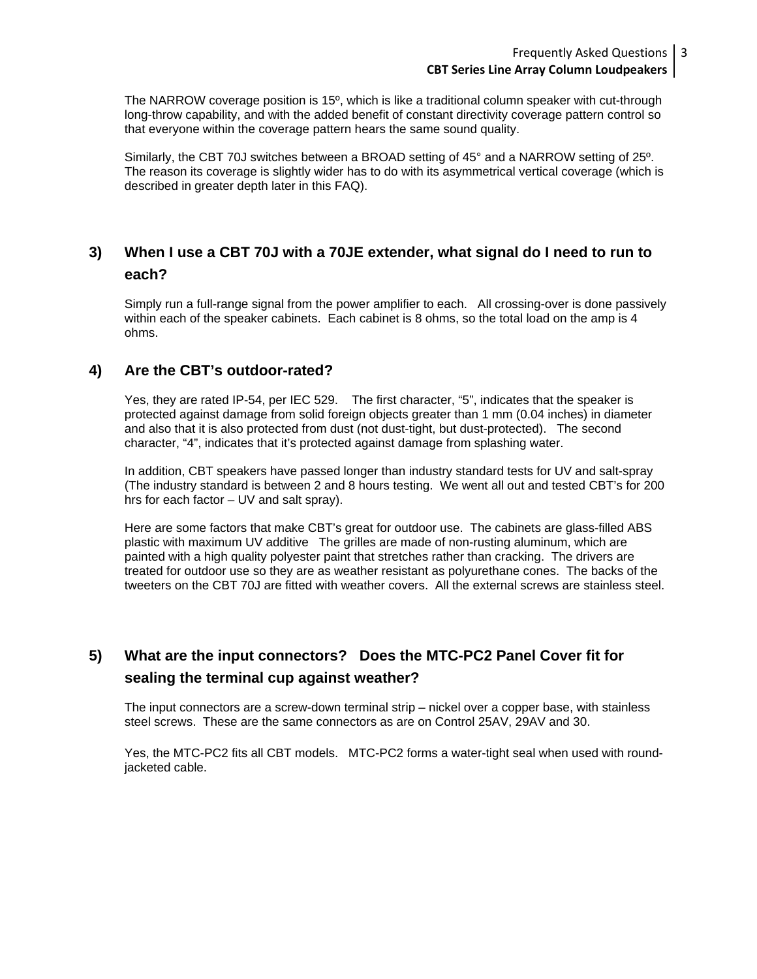#### Frequently Asked Questions 3 **CBT Series Line Array Column Loudpeakers**

The NARROW coverage position is 15º, which is like a traditional column speaker with cut-through long-throw capability, and with the added benefit of constant directivity coverage pattern control so that everyone within the coverage pattern hears the same sound quality.

Similarly, the CBT 70J switches between a BROAD setting of 45° and a NARROW setting of 25º. The reason its coverage is slightly wider has to do with its asymmetrical vertical coverage (which is described in greater depth later in this FAQ).

#### **3) When I use a CBT 70J with a 70JE extender, what signal do I need to run to each?**

Simply run a full-range signal from the power amplifier to each. All crossing-over is done passively within each of the speaker cabinets. Each cabinet is 8 ohms, so the total load on the amp is 4 ohms.

#### **4) Are the CBT's outdoor-rated?**

Yes, they are rated IP-54, per IEC 529. The first character, "5", indicates that the speaker is protected against damage from solid foreign objects greater than 1 mm (0.04 inches) in diameter and also that it is also protected from dust (not dust-tight, but dust-protected). The second character, "4", indicates that it's protected against damage from splashing water.

In addition, CBT speakers have passed longer than industry standard tests for UV and salt-spray (The industry standard is between 2 and 8 hours testing. We went all out and tested CBT's for 200 hrs for each factor – UV and salt spray).

Here are some factors that make CBT's great for outdoor use. The cabinets are glass-filled ABS plastic with maximum UV additive The grilles are made of non-rusting aluminum, which are painted with a high quality polyester paint that stretches rather than cracking. The drivers are treated for outdoor use so they are as weather resistant as polyurethane cones. The backs of the tweeters on the CBT 70J are fitted with weather covers. All the external screws are stainless steel.

#### **5) What are the input connectors? Does the MTC-PC2 Panel Cover fit for sealing the terminal cup against weather?**

The input connectors are a screw-down terminal strip – nickel over a copper base, with stainless steel screws. These are the same connectors as are on Control 25AV, 29AV and 30.

Yes, the MTC-PC2 fits all CBT models. MTC-PC2 forms a water-tight seal when used with roundjacketed cable.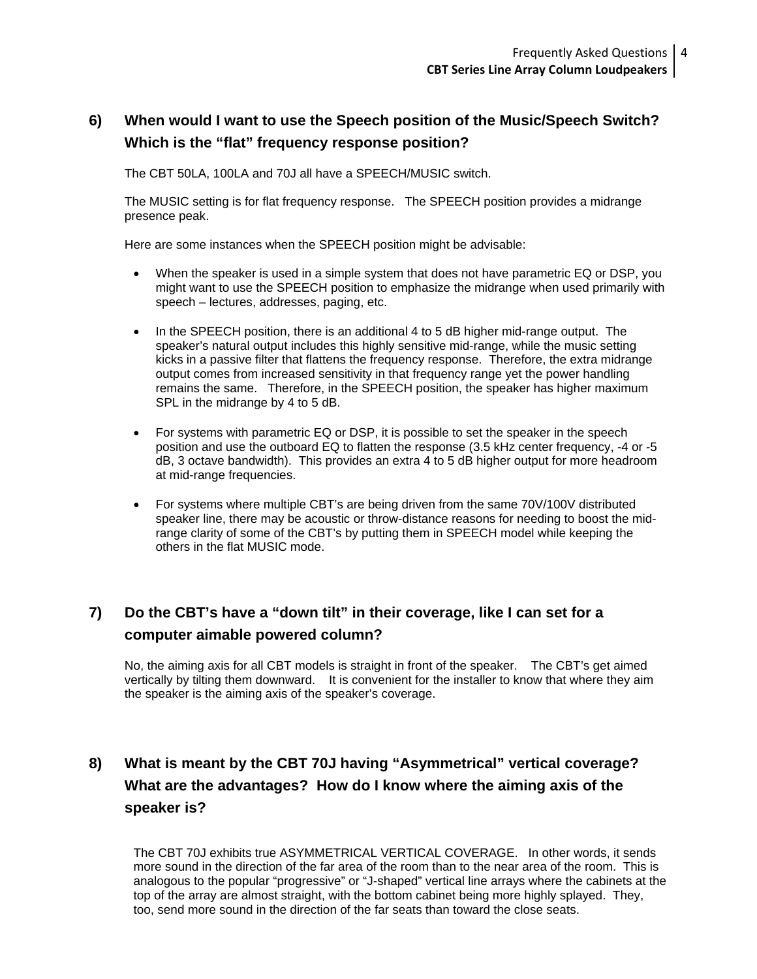### **6) When would I want to use the Speech position of the Music/Speech Switch? Which is the "flat" frequency response position?**

The CBT 50LA, 100LA and 70J all have a SPEECH/MUSIC switch.

The MUSIC setting is for flat frequency response. The SPEECH position provides a midrange presence peak.

Here are some instances when the SPEECH position might be advisable:

- When the speaker is used in a simple system that does not have parametric EQ or DSP, you might want to use the SPEECH position to emphasize the midrange when used primarily with speech – lectures, addresses, paging, etc.
- In the SPEECH position, there is an additional 4 to 5 dB higher mid-range output. The speaker's natural output includes this highly sensitive mid-range, while the music setting kicks in a passive filter that flattens the frequency response. Therefore, the extra midrange output comes from increased sensitivity in that frequency range yet the power handling remains the same. Therefore, in the SPEECH position, the speaker has higher maximum SPL in the midrange by 4 to 5 dB.
- For systems with parametric EQ or DSP, it is possible to set the speaker in the speech position and use the outboard EQ to flatten the response (3.5 kHz center frequency, -4 or -5 dB, 3 octave bandwidth). This provides an extra 4 to 5 dB higher output for more headroom at mid-range frequencies.
- For systems where multiple CBT's are being driven from the same 70V/100V distributed speaker line, there may be acoustic or throw-distance reasons for needing to boost the midrange clarity of some of the CBT's by putting them in SPEECH model while keeping the others in the flat MUSIC mode.

### **7) Do the CBT's have a "down tilt" in their coverage, like I can set for a computer aimable powered column?**

No, the aiming axis for all CBT models is straight in front of the speaker. The CBT's get aimed vertically by tilting them downward. It is convenient for the installer to know that where they aim the speaker is the aiming axis of the speaker's coverage.

# **8) What is meant by the CBT 70J having "Asymmetrical" vertical coverage? What are the advantages? How do I know where the aiming axis of the speaker is?**

The CBT 70J exhibits true ASYMMETRICAL VERTICAL COVERAGE. In other words, it sends more sound in the direction of the far area of the room than to the near area of the room. This is analogous to the popular "progressive" or "J-shaped" vertical line arrays where the cabinets at the top of the array are almost straight, with the bottom cabinet being more highly splayed. They, too, send more sound in the direction of the far seats than toward the close seats.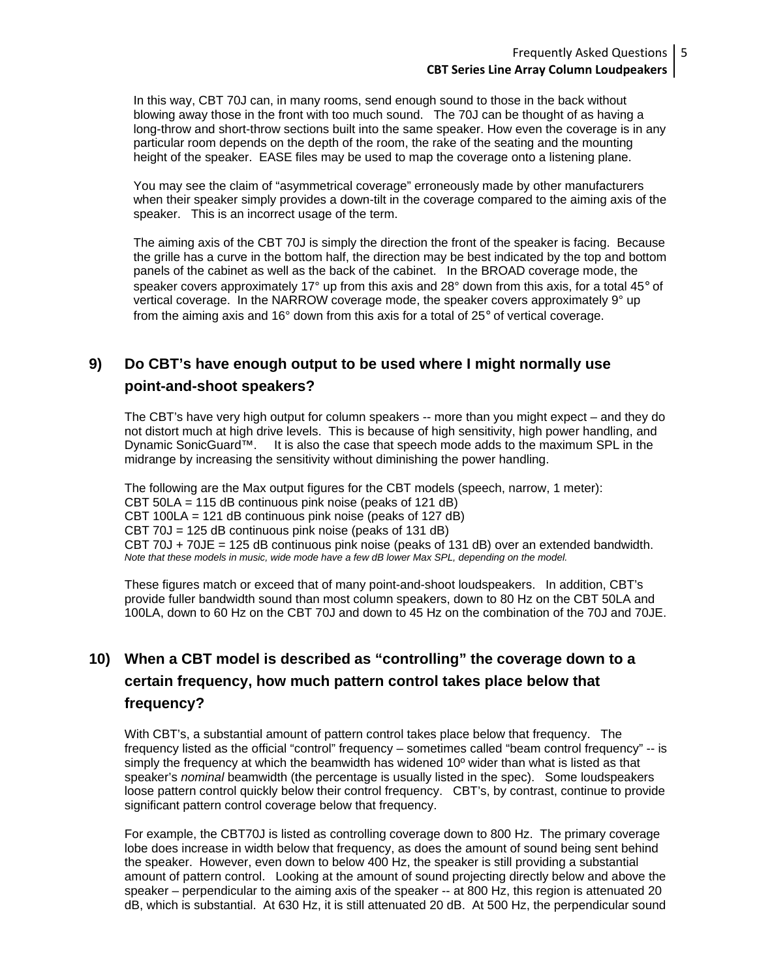#### Frequently Asked Questions 5 **CBT Series Line Array Column Loudpeakers**

In this way, CBT 70J can, in many rooms, send enough sound to those in the back without blowing away those in the front with too much sound. The 70J can be thought of as having a long-throw and short-throw sections built into the same speaker. How even the coverage is in any particular room depends on the depth of the room, the rake of the seating and the mounting height of the speaker. EASE files may be used to map the coverage onto a listening plane.

You may see the claim of "asymmetrical coverage" erroneously made by other manufacturers when their speaker simply provides a down-tilt in the coverage compared to the aiming axis of the speaker. This is an incorrect usage of the term.

The aiming axis of the CBT 70J is simply the direction the front of the speaker is facing. Because the grille has a curve in the bottom half, the direction may be best indicated by the top and bottom panels of the cabinet as well as the back of the cabinet. In the BROAD coverage mode, the speaker covers approximately 17° up from this axis and 28° down from this axis, for a total 45° of vertical coverage. In the NARROW coverage mode, the speaker covers approximately 9° up from the aiming axis and 16° down from this axis for a total of 25° of vertical coverage.

### **9) Do CBT's have enough output to be used where I might normally use point-and-shoot speakers?**

The CBT's have very high output for column speakers -- more than you might expect – and they do not distort much at high drive levels. This is because of high sensitivity, high power handling, and Dynamic SonicGuard™. It is also the case that speech mode adds to the maximum SPL in the midrange by increasing the sensitivity without diminishing the power handling.

The following are the Max output figures for the CBT models (speech, narrow, 1 meter): CBT 50LA = 115 dB continuous pink noise (peaks of 121 dB) CBT 100LA = 121 dB continuous pink noise (peaks of 127 dB) CBT 70J = 125 dB continuous pink noise (peaks of 131 dB) CBT 70J + 70JE = 125 dB continuous pink noise (peaks of 131 dB) over an extended bandwidth. *Note that these models in music, wide mode have a few dB lower Max SPL, depending on the model.* 

These figures match or exceed that of many point-and-shoot loudspeakers. In addition, CBT's provide fuller bandwidth sound than most column speakers, down to 80 Hz on the CBT 50LA and 100LA, down to 60 Hz on the CBT 70J and down to 45 Hz on the combination of the 70J and 70JE.

## **10) When a CBT model is described as "controlling" the coverage down to a certain frequency, how much pattern control takes place below that frequency?**

With CBT's, a substantial amount of pattern control takes place below that frequency. The frequency listed as the official "control" frequency – sometimes called "beam control frequency" -- is simply the frequency at which the beamwidth has widened 10<sup>°</sup> wider than what is listed as that speaker's *nominal* beamwidth (the percentage is usually listed in the spec). Some loudspeakers loose pattern control quickly below their control frequency. CBT's, by contrast, continue to provide significant pattern control coverage below that frequency.

For example, the CBT70J is listed as controlling coverage down to 800 Hz. The primary coverage lobe does increase in width below that frequency, as does the amount of sound being sent behind the speaker. However, even down to below 400 Hz, the speaker is still providing a substantial amount of pattern control. Looking at the amount of sound projecting directly below and above the speaker – perpendicular to the aiming axis of the speaker -- at 800 Hz, this region is attenuated 20 dB, which is substantial. At 630 Hz, it is still attenuated 20 dB. At 500 Hz, the perpendicular sound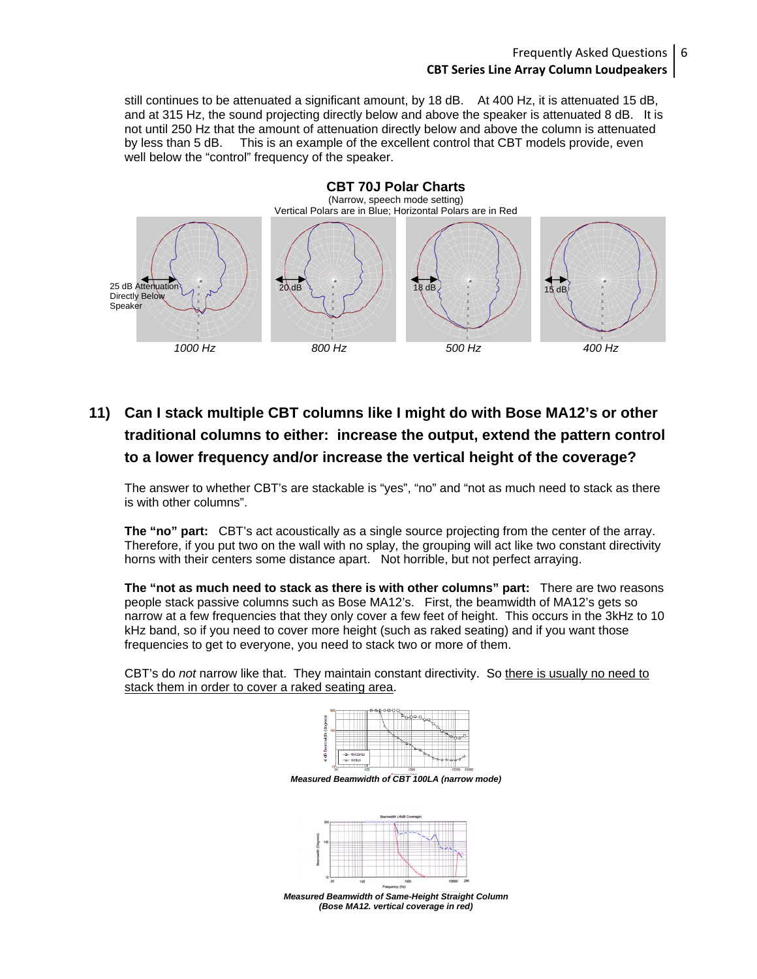#### Frequently Asked Questions 6 **CBT Series Line Array Column Loudpeakers**

still continues to be attenuated a significant amount, by 18 dB. At 400 Hz, it is attenuated 15 dB, and at 315 Hz, the sound projecting directly below and above the speaker is attenuated 8 dB. It is not until 250 Hz that the amount of attenuation directly below and above the column is attenuated by less than 5 dB. This is an example of the excellent control that CBT models provide, even well below the "control" frequency of the speaker.



# **11) Can I stack multiple CBT columns like I might do with Bose MA12's or other traditional columns to either: increase the output, extend the pattern control to a lower frequency and/or increase the vertical height of the coverage?**

The answer to whether CBT's are stackable is "yes", "no" and "not as much need to stack as there is with other columns".

**The "no" part:** CBT's act acoustically as a single source projecting from the center of the array. Therefore, if you put two on the wall with no splay, the grouping will act like two constant directivity horns with their centers some distance apart. Not horrible, but not perfect arraying.

**The "not as much need to stack as there is with other columns" part:** There are two reasons people stack passive columns such as Bose MA12's. First, the beamwidth of MA12's gets so narrow at a few frequencies that they only cover a few feet of height. This occurs in the 3kHz to 10 kHz band, so if you need to cover more height (such as raked seating) and if you want those frequencies to get to everyone, you need to stack two or more of them.

CBT's do *not* narrow like that. They maintain constant directivity. So there is usually no need to stack them in order to cover a raked seating area.



*Measured Beamwidth of CBT 100LA (narrow mode)* 



*(Bose MA12. vertical coverage in red)*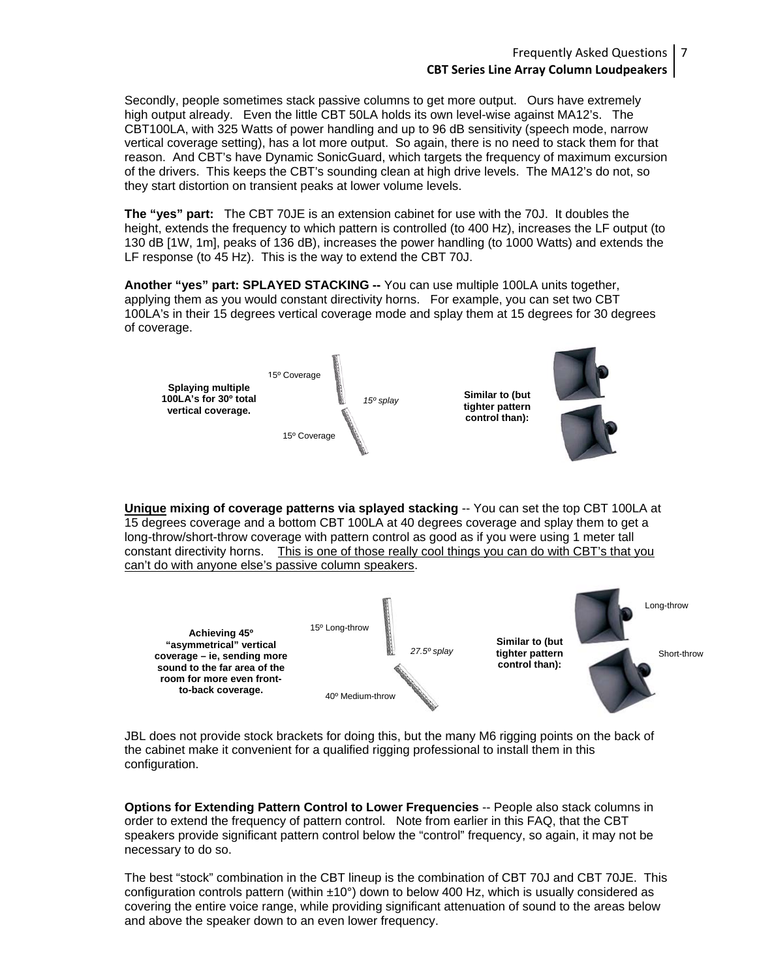Secondly, people sometimes stack passive columns to get more output. Ours have extremely high output already. Even the little CBT 50LA holds its own level-wise against MA12's. The CBT100LA, with 325 Watts of power handling and up to 96 dB sensitivity (speech mode, narrow vertical coverage setting), has a lot more output. So again, there is no need to stack them for that reason. And CBT's have Dynamic SonicGuard, which targets the frequency of maximum excursion of the drivers. This keeps the CBT's sounding clean at high drive levels. The MA12's do not, so they start distortion on transient peaks at lower volume levels.

**The "yes" part:** The CBT 70JE is an extension cabinet for use with the 70J. It doubles the height, extends the frequency to which pattern is controlled (to 400 Hz), increases the LF output (to 130 dB [1W, 1m], peaks of 136 dB), increases the power handling (to 1000 Watts) and extends the LF response (to 45 Hz). This is the way to extend the CBT 70J.

**Another "yes" part: SPLAYED STACKING --** You can use multiple 100LA units together, applying them as you would constant directivity horns. For example, you can set two CBT 100LA's in their 15 degrees vertical coverage mode and splay them at 15 degrees for 30 degrees of coverage.



**Unique mixing of coverage patterns via splayed stacking** -- You can set the top CBT 100LA at 15 degrees coverage and a bottom CBT 100LA at 40 degrees coverage and splay them to get a long-throw/short-throw coverage with pattern control as good as if you were using 1 meter tall constant directivity horns. This is one of those really cool things you can do with CBT's that you can't do with anyone else's passive column speakers.



JBL does not provide stock brackets for doing this, but the many M6 rigging points on the back of the cabinet make it convenient for a qualified rigging professional to install them in this configuration.

**Options for Extending Pattern Control to Lower Frequencies** -- People also stack columns in order to extend the frequency of pattern control. Note from earlier in this FAQ, that the CBT speakers provide significant pattern control below the "control" frequency, so again, it may not be necessary to do so.

The best "stock" combination in the CBT lineup is the combination of CBT 70J and CBT 70JE. This configuration controls pattern (within ±10°) down to below 400 Hz, which is usually considered as covering the entire voice range, while providing significant attenuation of sound to the areas below and above the speaker down to an even lower frequency.